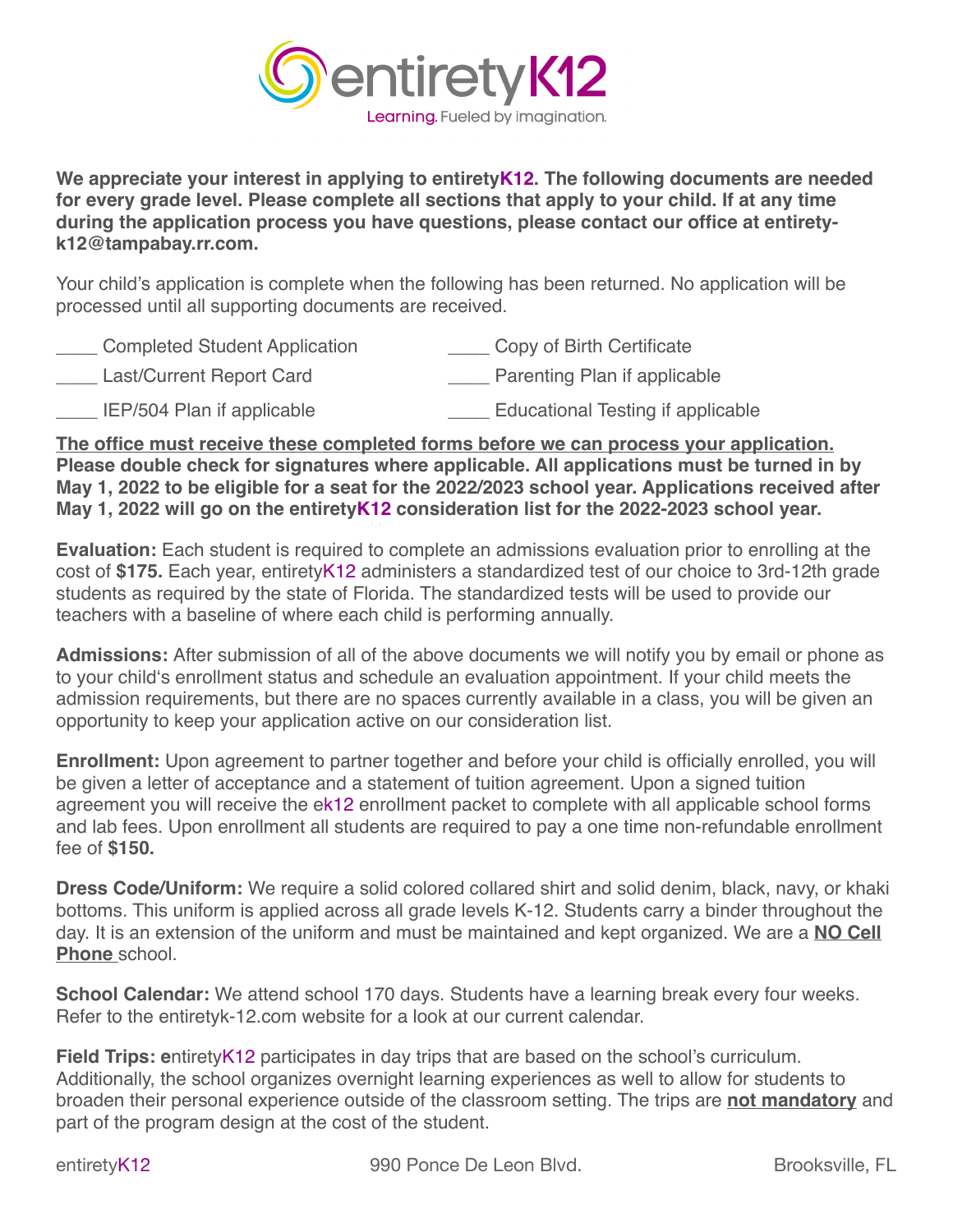

**We appreciate your interest in applying to entiretyK12. The following documents are needed for every grade level. Please complete all sections that apply to your child. If at any time during the application process you have questions, please contact our office at entiretyk12@tampabay.rr.com.**

Your child's application is complete when the following has been returned. No application will be processed until all supporting documents are received.

| <b>Completed Student Application</b> | Copy of Birth Certificate                |
|--------------------------------------|------------------------------------------|
| Last/Current Report Card             | Parenting Plan if applicable             |
| IEP/504 Plan if applicable           | <b>Educational Testing if applicable</b> |

**The office must receive these completed forms before we can process your application. Please double check for signatures where applicable. All applications must be turned in by May 1, 2022 to be eligible for a seat for the 2022/2023 school year. Applications received after May 1, 2022 will go on the entiretyK12 consideration list for the 2022-2023 school year.** 

**Evaluation:** Each student is required to complete an admissions evaluation prior to enrolling at the cost of **\$175.** Each year, entiretyK12 administers a standardized test of our choice to 3rd-12th grade students as required by the state of Florida. The standardized tests will be used to provide our teachers with a baseline of where each child is performing annually.

**Admissions:** After submission of all of the above documents we will notify you by email or phone as to your child's enrollment status and schedule an evaluation appointment. If your child meets the admission requirements, but there are no spaces currently available in a class, you will be given an opportunity to keep your application active on our consideration list.

**Enrollment:** Upon agreement to partner together and before your child is officially enrolled, you will be given a letter of acceptance and a statement of tuition agreement. Upon a signed tuition agreement you will receive the ek12 enrollment packet to complete with all applicable school forms and lab fees. Upon enrollment all students are required to pay a one time non-refundable enrollment fee of **\$150.** 

**Dress Code/Uniform:** We require a solid colored collared shirt and solid denim, black, navy, or khaki bottoms. This uniform is applied across all grade levels K-12. Students carry a binder throughout the day. It is an extension of the uniform and must be maintained and kept organized. We are a **NO Cell Phone** school.

**School Calendar:** We attend school 170 days. Students have a learning break every four weeks. Refer to the entiretyk-12.com website for a look at our current calendar.

**Field Trips: e**ntiretyK12 participates in day trips that are based on the school's curriculum. Additionally, the school organizes overnight learning experiences as well to allow for students to broaden their personal experience outside of the classroom setting. The trips are **not mandatory** and part of the program design at the cost of the student.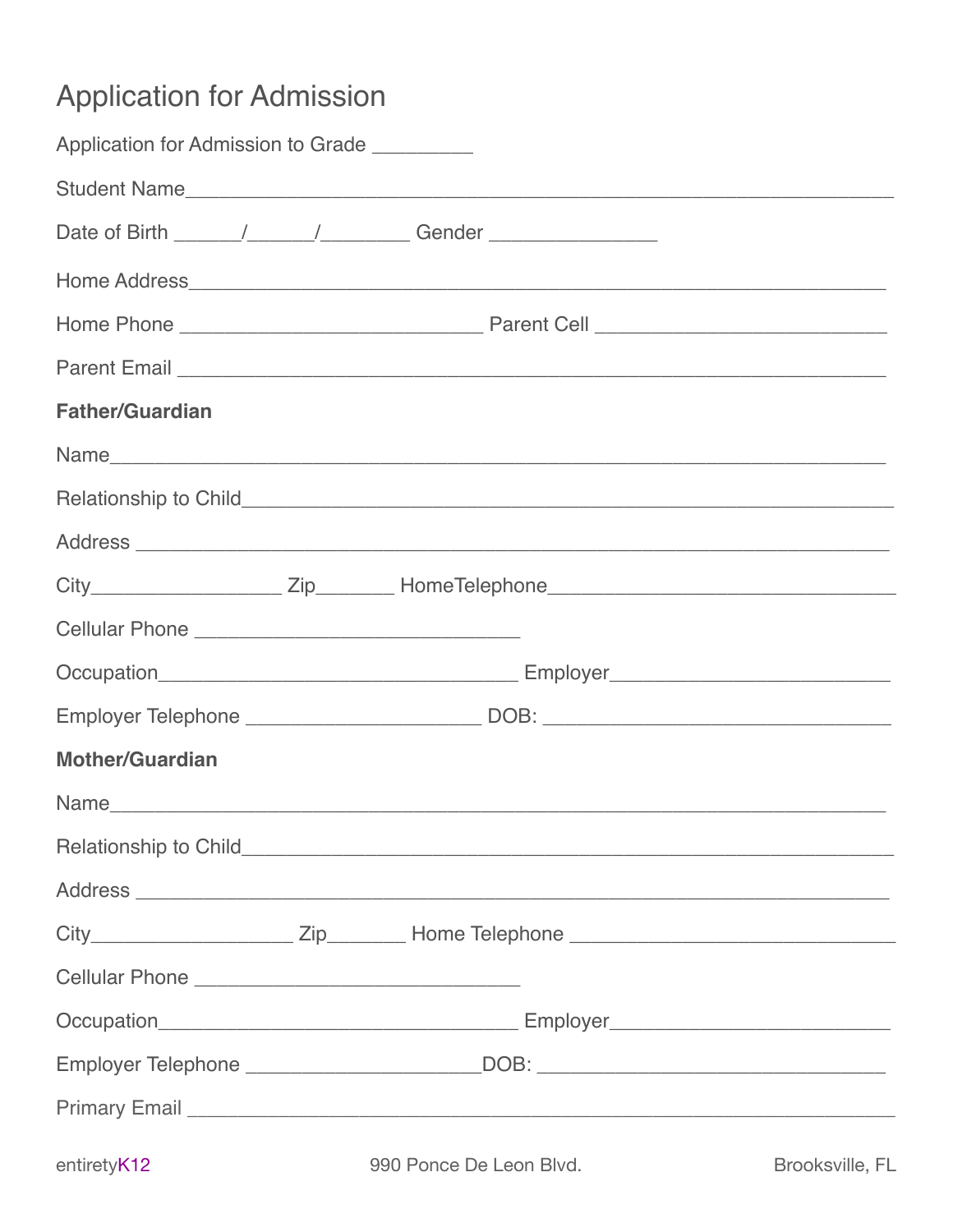## **Application for Admission**

| Application for Admission to Grade |                                                                                                                                                                                                                                |  |
|------------------------------------|--------------------------------------------------------------------------------------------------------------------------------------------------------------------------------------------------------------------------------|--|
|                                    |                                                                                                                                                                                                                                |  |
|                                    |                                                                                                                                                                                                                                |  |
|                                    |                                                                                                                                                                                                                                |  |
|                                    |                                                                                                                                                                                                                                |  |
|                                    |                                                                                                                                                                                                                                |  |
| <b>Father/Guardian</b>             |                                                                                                                                                                                                                                |  |
|                                    |                                                                                                                                                                                                                                |  |
|                                    |                                                                                                                                                                                                                                |  |
|                                    |                                                                                                                                                                                                                                |  |
|                                    | City_______________________Zip__________HomeTelephone____________________________                                                                                                                                              |  |
|                                    |                                                                                                                                                                                                                                |  |
|                                    |                                                                                                                                                                                                                                |  |
|                                    | Employer Telephone ___________________________DOB: _____________________________                                                                                                                                               |  |
| <b>Mother/Guardian</b>             |                                                                                                                                                                                                                                |  |
|                                    |                                                                                                                                                                                                                                |  |
|                                    |                                                                                                                                                                                                                                |  |
|                                    |                                                                                                                                                                                                                                |  |
|                                    |                                                                                                                                                                                                                                |  |
|                                    |                                                                                                                                                                                                                                |  |
|                                    |                                                                                                                                                                                                                                |  |
|                                    | Employer Telephone _______________________DOB: _________________________________                                                                                                                                               |  |
|                                    | Primary Email Louis Communication and Communication and Communication and Communication and Communication and Communication and Communication and Communication and Communication and Communication and Communication and Comm |  |
|                                    | 200 Berne Bellevin Bluebert Burghardter Burghardter El                                                                                                                                                                         |  |